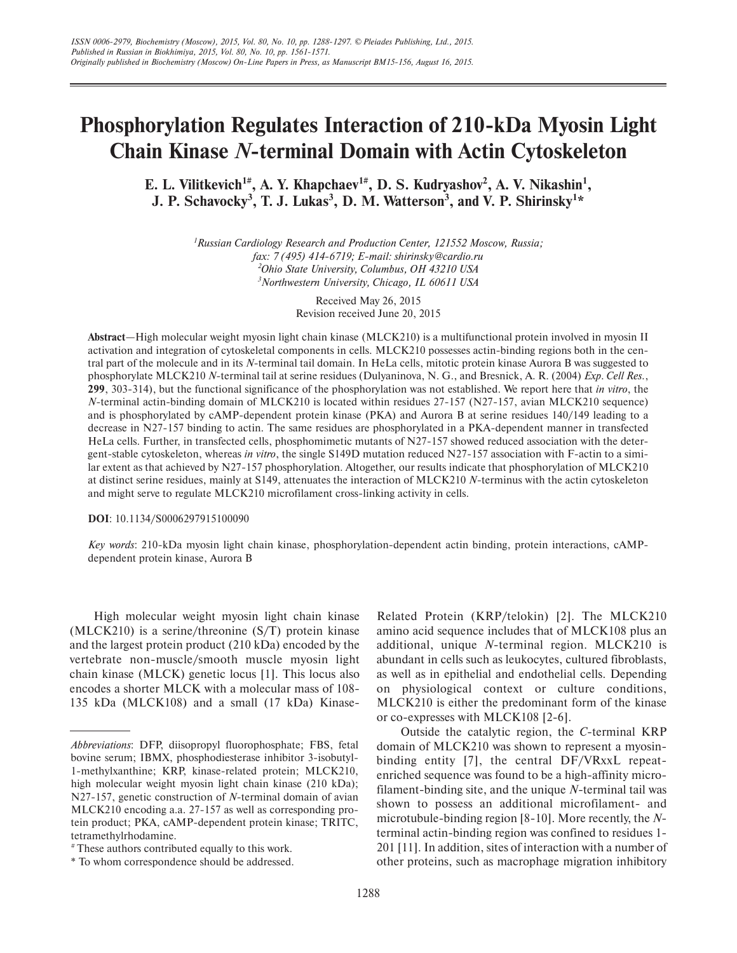# **Phosphorylation Regulates Interaction of 210-kDa Myosin Light Chain Kinase** *N***-terminal Domain with Actin Cytoskeleton**

E. L. Vilitkevich<sup>1#</sup>, A. Y. Khapchaev<sup>1#</sup>, D. S. Kudryashov<sup>2</sup>, A. V. Nikashin<sup>1</sup>, **J. P. Schavocky<sup>3</sup> , T. J. Lukas<sup>3</sup> , D. M. Watterson<sup>3</sup> , and V. P. Shirinsky<sup>1</sup> \***

> *Russian Cardiology Research and Production Center, 121552 Moscow, Russia; fax: 7 (495) 414-6719; E-mail: shirinsky@cardio.ru Ohio State University, Columbus, OH 43210 USA Northwestern University, Chicago, IL 60611 USA*

> > Received May 26, 2015 Revision received June 20, 2015

**Abstract**—High molecular weight myosin light chain kinase (MLCK210) is a multifunctional protein involved in myosin II activation and integration of cytoskeletal components in cells. MLCK210 possesses actin-binding regions both in the central part of the molecule and in its *N*-terminal tail domain. In HeLa cells, mitotic protein kinase Aurora B was suggested to phosphorylate MLCK210 *N*-terminal tail at serine residues (Dulyaninova, N. G., and Bresnick, A. R. (2004) *Exp*. *Cell Res.*, **299**, 303-314), but the functional significance of the phosphorylation was not established. We report here that *in vitro*, the *N*-terminal actin-binding domain of MLCK210 is located within residues 27-157 (N27-157, avian MLCK210 sequence) and is phosphorylated by cAMP-dependent protein kinase (PKA) and Aurora B at serine residues 140/149 leading to a decrease in N27-157 binding to actin. The same residues are phosphorylated in a PKA-dependent manner in transfected HeLa cells. Further, in transfected cells, phosphomimetic mutants of N27-157 showed reduced association with the detergent-stable cytoskeleton, whereas *in vitro*, the single S149D mutation reduced N27-157 association with F-actin to a similar extent as that achieved by N27-157 phosphorylation. Altogether, our results indicate that phosphorylation of MLCK210 at distinct serine residues, mainly at S149, attenuates the interaction of MLCK210 *N*-terminus with the actin cytoskeleton and might serve to regulate MLCK210 microfilament cross-linking activity in cells.

**DOI**: 10.1134/S0006297915100090

*Key words*: 210-kDa myosin light chain kinase, phosphorylation-dependent actin binding, protein interactions, cAMPdependent protein kinase, Aurora B

High molecular weight myosin light chain kinase (MLCK210) is a serine/threonine (S/T) protein kinase and the largest protein product (210 kDa) encoded by the vertebrate non-muscle/smooth muscle myosin light chain kinase (MLCK) genetic locus [1]. This locus also encodes a shorter MLCK with a molecular mass of 108- 135 kDa (MLCK108) and a small (17 kDa) Kinase-

Related Protein (KRP/telokin) [2]. The MLCK210 amino acid sequence includes that of MLCK108 plus an additional, unique *N*-terminal region. MLCK210 is abundant in cells such as leukocytes, cultured fibroblasts, as well as in epithelial and endothelial cells. Depending on physiological context or culture conditions, MLCK210 is either the predominant form of the kinase or co-expresses with MLCK108 [2-6].

Outside the catalytic region, the *C*-terminal KRP domain of MLCK210 was shown to represent a myosinbinding entity [7], the central DF/VRxxL repeatenriched sequence was found to be a high-affinity microfilament-binding site, and the unique *N*-terminal tail was shown to possess an additional microfilament- and microtubule-binding region [8-10]. More recently, the *N*terminal actin-binding region was confined to residues 1- 201 [11]. In addition, sites of interaction with a number of other proteins, such as macrophage migration inhibitory

*Abbreviations*: DFP, diisopropyl fluorophosphate; FBS, fetal bovine serum; IBMX, phosphodiesterase inhibitor 3-isobutyl-1-methylxanthine; KRP, kinase-related protein; MLCK210, high molecular weight myosin light chain kinase (210 kDa); N27-157, genetic construction of *N*-terminal domain of avian MLCK210 encoding a.a. 27-157 as well as corresponding protein product; PKA, cAMP-dependent protein kinase; TRITC, tetramethylrhodamine.

<sup>#</sup> These authors contributed equally to this work.

<sup>\*</sup> To whom correspondence should be addressed.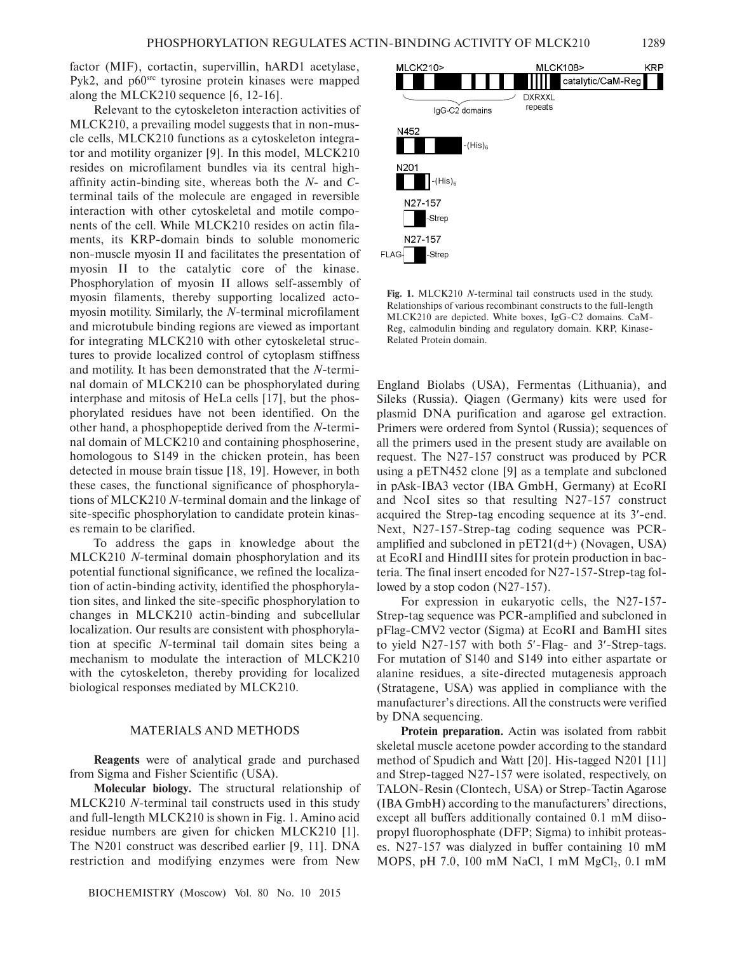factor (MIF), cortactin, supervillin, hARD1 acetylase, Pyk2, and p60<sup>src</sup> tyrosine protein kinases were mapped along the MLCK210 sequence [6, 12-16].

Relevant to the cytoskeleton interaction activities of MLCK210, a prevailing model suggests that in non-muscle cells, MLCK210 functions as a cytoskeleton integrator and motility organizer [9]. In this model, MLCK210 resides on microfilament bundles via its central highaffinity actin-binding site, whereas both the *N*- and *C*terminal tails of the molecule are engaged in reversible interaction with other cytoskeletal and motile components of the cell. While MLCK210 resides on actin filaments, its KRP-domain binds to soluble monomeric non-muscle myosin II and facilitates the presentation of myosin II to the catalytic core of the kinase. Phosphorylation of myosin II allows self-assembly of myosin filaments, thereby supporting localized actomyosin motility. Similarly, the *N*-terminal microfilament and microtubule binding regions are viewed as important for integrating MLCK210 with other cytoskeletal structures to provide localized control of cytoplasm stiffness and motility. It has been demonstrated that the *N*-terminal domain of MLCK210 can be phosphorylated during interphase and mitosis of HeLa cells [17], but the phosphorylated residues have not been identified. On the other hand, a phosphopeptide derived from the *N*-terminal domain of MLCK210 and containing phosphoserine, homologous to S149 in the chicken protein, has been detected in mouse brain tissue [18, 19]. However, in both these cases, the functional significance of phosphorylations of MLCK210 *N*-terminal domain and the linkage of site-specific phosphorylation to candidate protein kinases remain to be clarified.

To address the gaps in knowledge about the MLCK210 *N*-terminal domain phosphorylation and its potential functional significance, we refined the localization of actin-binding activity, identified the phosphorylation sites, and linked the site-specific phosphorylation to changes in MLCK210 actin-binding and subcellular localization. Our results are consistent with phosphorylation at specific *N*-terminal tail domain sites being a mechanism to modulate the interaction of MLCK210 with the cytoskeleton, thereby providing for localized biological responses mediated by MLCK210.

#### MATERIALS AND METHODS

**Reagents** were of analytical grade and purchased from Sigma and Fisher Scientific (USA).

**Molecular biology.** The structural relationship of MLCK210 *N*-terminal tail constructs used in this study and full-length MLCK210 is shown in Fig. 1. Amino acid residue numbers are given for chicken MLCK210 [1]. The N201 construct was described earlier [9, 11]. DNA restriction and modifying enzymes were from New



**Fig. 1.** MLCK210 *N*-terminal tail constructs used in the study. Relationships of various recombinant constructs to the full-length MLCK210 are depicted. White boxes, IgG-C2 domains. CaM-Reg, calmodulin binding and regulatory domain. KRP, Kinase-Related Protein domain.

England Biolabs (USA), Fermentas (Lithuania), and Sileks (Russia). Qiagen (Germany) kits were used for plasmid DNA purification and agarose gel extraction. Primers were ordered from Syntol (Russia); sequences of all the primers used in the present study are available on request. The N27-157 construct was produced by PCR using a pETN452 clone [9] as a template and subcloned in pAsk-IBA3 vector (IBA GmbH, Germany) at EcoRI and NcoI sites so that resulting N27-157 construct acquired the Strep-tag encoding sequence at its 3′-end. Next, N27-157-Strep-tag coding sequence was PCRamplified and subcloned in  $pET21(d+)$  (Novagen, USA) at EcoRI and HindIII sites for protein production in bacteria. The final insert encoded for N27-157-Strep-tag followed by a stop codon (N27-157).

For expression in eukaryotic cells, the N27-157- Strep-tag sequence was PCR-amplified and subcloned in pFlag-CMV2 vector (Sigma) at EcoRI and BamHI sites to yield N27-157 with both 5′-Flag- and 3′-Strep-tags. For mutation of S140 and S149 into either aspartate or alanine residues, a site-directed mutagenesis approach (Stratagene, USA) was applied in compliance with the manufacturer's directions. All the constructs were verified by DNA sequencing.

**Protein preparation.** Actin was isolated from rabbit skeletal muscle acetone powder according to the standard method of Spudich and Watt [20]. His-tagged N201 [11] and Strep-tagged N27-157 were isolated, respectively, on TALON-Resin (Clontech, USA) or Strep-Tactin Agarose (IBA GmbH) according to the manufacturers' directions, except all buffers additionally contained 0.1 mM diisopropyl fluorophosphate (DFP; Sigma) to inhibit proteases. N27-157 was dialyzed in buffer containing 10 mM MOPS, pH 7.0, 100 mM NaCl, 1 mM  $MgCl_2$ , 0.1 mM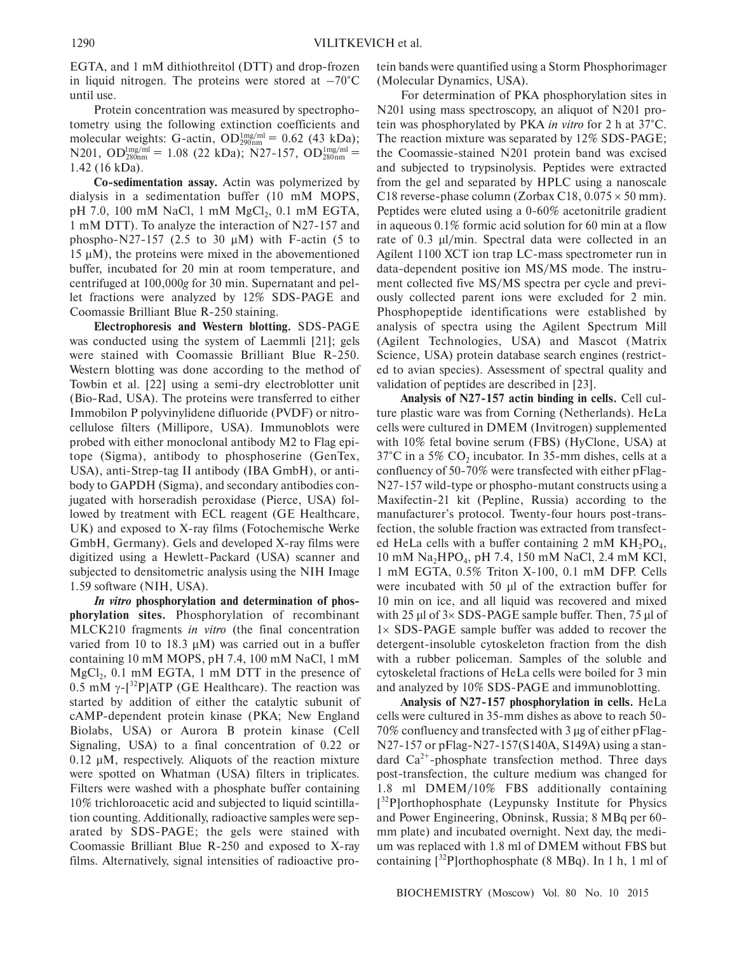EGTA, and 1 mM dithiothreitol (DTT) and drop-frozen in liquid nitrogen. The proteins were stored at  $-70^{\circ}$ C until use.

Protein concentration was measured by spectrophotometry using the following extinction coefficients and molecular weights: G-actin,  $OD_{290nm}^{lmg/ml} = 0.62$  (43 kDa); N201, OD<sup>1</sup><sub>280nm</sub> = 1.08 (22 kDa); N27-157, OD<sup>1</sup><sub>280nm</sub> = 1.42 (16 kDa).

**Co-sedimentation assay.** Actin was polymerized by dialysis in a sedimentation buffer (10 mM MOPS, pH 7.0, 100 mM NaCl, 1 mM MgCl<sub>2</sub>, 0.1 mM EGTA, 1 mM DTT). To analyze the interaction of N27-157 and phospho-N27-157 (2.5 to 30  $\mu$ M) with F-actin (5 to 15 µM), the proteins were mixed in the abovementioned buffer, incubated for 20 min at room temperature, and centrifuged at 100,000*g* for 30 min. Supernatant and pellet fractions were analyzed by 12% SDS-PAGE and Coomassie Brilliant Blue R-250 staining.

**Electrophoresis and Western blotting.** SDS-PAGE was conducted using the system of Laemmli [21]; gels were stained with Coomassie Brilliant Blue R-250. Western blotting was done according to the method of Towbin et al. [22] using a semi-dry electroblotter unit (Bio-Rad, USA). The proteins were transferred to either Immobilon P polyvinylidene difluoride (PVDF) or nitrocellulose filters (Millipore, USA). Immunoblots were probed with either monoclonal antibody M2 to Flag epitope (Sigma), antibody to phosphoserine (GenTex, USA), anti-Strep-tag II antibody (IBA GmbH), or antibody to GAPDH (Sigma), and secondary antibodies conjugated with horseradish peroxidase (Pierce, USA) followed by treatment with ECL reagent (GE Healthcare, UK) and exposed to X-ray films (Fotochemische Werke GmbH, Germany). Gels and developed X-ray films were digitized using a Hewlett-Packard (USA) scanner and subjected to densitometric analysis using the NIH Image 1.59 software (NIH, USA).

*In vitro* **phosphorylation and determination of phosphorylation sites.** Phosphorylation of recombinant MLCK210 fragments *in vitro* (the final concentration varied from 10 to 18.3  $\mu$ M) was carried out in a buffer containing 10 mM MOPS, pH 7.4, 100 mM NaCl, 1 mM  $MgCl<sub>2</sub>$ , 0.1 mM EGTA, 1 mM DTT in the presence of 0.5 mM  $\gamma$ -[<sup>32</sup>P]ATP (GE Healthcare). The reaction was started by addition of either the catalytic subunit of cAMP-dependent protein kinase (PKA; New England Biolabs, USA) or Aurora B protein kinase (Cell Signaling, USA) to a final concentration of 0.22 or  $0.12 \mu M$ , respectively. Aliquots of the reaction mixture were spotted on Whatman (USA) filters in triplicates. Filters were washed with a phosphate buffer containing 10% trichloroacetic acid and subjected to liquid scintillation counting. Additionally, radioactive samples were separated by SDS-PAGE; the gels were stained with Coomassie Brilliant Blue R-250 and exposed to X-ray films. Alternatively, signal intensities of radioactive protein bands were quantified using a Storm Phosphorimager (Molecular Dynamics, USA).

For determination of PKA phosphorylation sites in N201 using mass spectroscopy, an aliquot of N201 protein was phosphorylated by PKA *in vitro* for 2 h at 37°C. The reaction mixture was separated by 12% SDS-PAGE; the Coomassie-stained N201 protein band was excised and subjected to trypsinolysis. Peptides were extracted from the gel and separated by HPLC using a nanoscale C18 reverse-phase column (Zorbax C18,  $0.075 \times 50$  mm). Peptides were eluted using a 0-60% acetonitrile gradient in aqueous 0.1% formic acid solution for 60 min at a flow rate of 0.3 µl/min. Spectral data were collected in an Agilent 1100 XCT ion trap LC-mass spectrometer run in data-dependent positive ion MS/MS mode. The instrument collected five MS/MS spectra per cycle and previously collected parent ions were excluded for 2 min. Phosphopeptide identifications were established by analysis of spectra using the Agilent Spectrum Mill (Agilent Technologies, USA) and Mascot (Matrix Science, USA) protein database search engines (restricted to avian species). Assessment of spectral quality and validation of peptides are described in [23].

**Analysis of N27-157 actin binding in cells.** Cell culture plastic ware was from Corning (Netherlands). HeLa cells were cultured in DMEM (Invitrogen) supplemented with 10% fetal bovine serum (FBS) (HyClone, USA) at  $37^{\circ}$ C in a 5% CO<sub>2</sub> incubator. In 35-mm dishes, cells at a confluency of 50-70% were transfected with either pFlag-N27-157 wild-type or phospho-mutant constructs using a Maxifectin-21 kit (Pepline, Russia) according to the manufacturer's protocol. Twenty-four hours post-transfection, the soluble fraction was extracted from transfected HeLa cells with a buffer containing 2 mM  $KH_2PO_4$ , 10 mM Na2HPO<sup>4</sup> , pH 7.4, 150 mM NaCl, 2.4 mM KCl, 1 mM EGTA, 0.5% Triton X-100, 0.1 mM DFP. Cells were incubated with 50 µl of the extraction buffer for 10 min on ice, and all liquid was recovered and mixed with 25  $\mu$ l of 3× SDS-PAGE sample buffer. Then, 75  $\mu$ l of 1× SDS-PAGE sample buffer was added to recover the detergent-insoluble cytoskeleton fraction from the dish with a rubber policeman. Samples of the soluble and cytoskeletal fractions of HeLa cells were boiled for 3 min and analyzed by 10% SDS-PAGE and immunoblotting.

**Analysis of N27-157 phosphorylation in cells.** HeLa cells were cultured in 35-mm dishes as above to reach 50- 70% confluency and transfected with 3 µg of either pFlag-N27-157 or pFlag-N27-157(S140A, S149A) using a standard  $Ca^{2+}$ -phosphate transfection method. Three days post-transfection, the culture medium was changed for 1.8 ml DMEM/10% FBS additionally containing [<sup>32</sup>P]orthophosphate (Leypunsky Institute for Physics and Power Engineering, Obninsk, Russia; 8 MBq per 60 mm plate) and incubated overnight. Next day, the medium was replaced with 1.8 ml of DMEM without FBS but containing  $\lceil^{32}P\rfloor$ orthophosphate (8 MBq). In 1 h, 1 ml of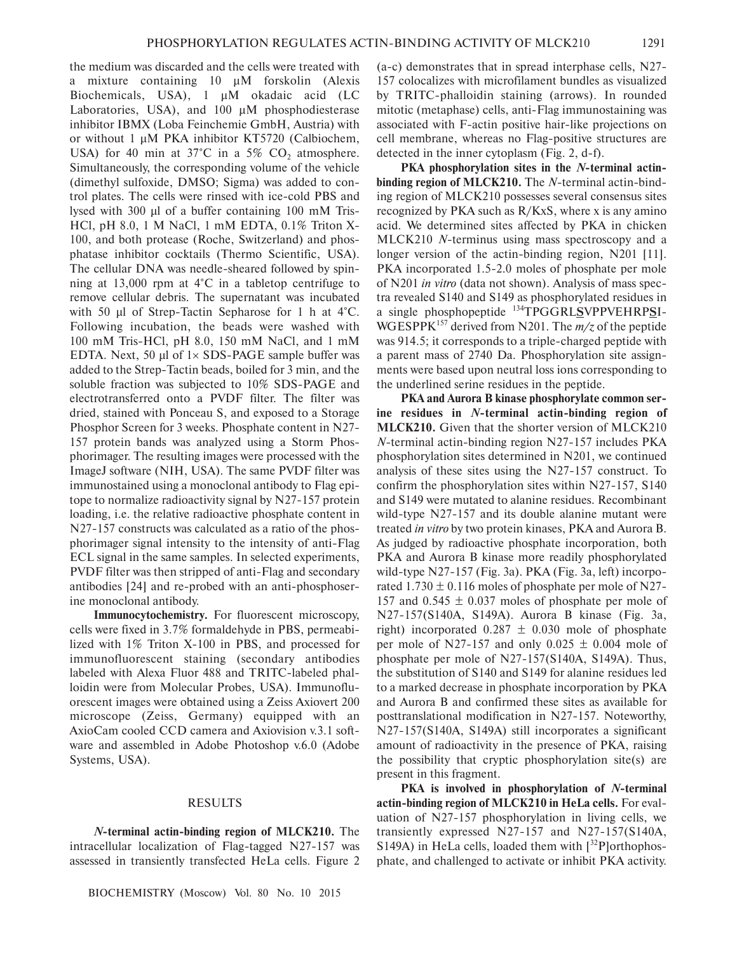the medium was discarded and the cells were treated with a mixture containing 10 µM forskolin (Alexis Biochemicals, USA), 1 µM okadaic acid (LC Laboratories, USA), and 100  $\mu$ M phosphodiesterase inhibitor IBMX (Loba Feinchemie GmbH, Austria) with or without 1 µM PKA inhibitor KT5720 (Calbiochem, USA) for 40 min at  $37^{\circ}$ C in a  $5\%$  CO<sub>2</sub> atmosphere. Simultaneously, the corresponding volume of the vehicle (dimethyl sulfoxide, DMSO; Sigma) was added to control plates. The cells were rinsed with ice-cold PBS and lysed with 300 µl of a buffer containing 100 mM Tris-HCl, pH 8.0, 1 M NaCl, 1 mM EDTA, 0.1% Triton X-100, and both protease (Roche, Switzerland) and phosphatase inhibitor cocktails (Thermo Scientific, USA). The cellular DNA was needle-sheared followed by spinning at 13,000 rpm at 4°C in a tabletop centrifuge to remove cellular debris. The supernatant was incubated with 50 µl of Strep-Tactin Sepharose for 1 h at 4°C. Following incubation, the beads were washed with 100 mM Tris-HCl, pH 8.0, 150 mM NaCl, and 1 mM EDTA. Next, 50  $\mu$ l of 1× SDS-PAGE sample buffer was added to the Strep-Tactin beads, boiled for 3 min, and the soluble fraction was subjected to 10% SDS-PAGE and electrotransferred onto a PVDF filter. The filter was dried, stained with Ponceau S, and exposed to a Storage Phosphor Screen for 3 weeks. Phosphate content in N27- 157 protein bands was analyzed using a Storm Phosphorimager. The resulting images were processed with the ImageJ software (NIH, USA). The same PVDF filter was immunostained using a monoclonal antibody to Flag epitope to normalize radioactivity signal by N27-157 protein loading, i.e. the relative radioactive phosphate content in N27-157 constructs was calculated as a ratio of the phosphorimager signal intensity to the intensity of anti-Flag ECL signal in the same samples. In selected experiments, PVDF filter was then stripped of anti-Flag and secondary antibodies [24] and re-probed with an anti-phosphoserine monoclonal antibody.

**Immunocytochemistry.** For fluorescent microscopy, cells were fixed in 3.7% formaldehyde in PBS, permeabilized with 1% Triton X-100 in PBS, and processed for immunofluorescent staining (secondary antibodies labeled with Alexa Fluor 488 and TRITC-labeled phalloidin were from Molecular Probes, USA). Immunofluorescent images were obtained using a Zeiss Axiovert 200 microscope (Zeiss, Germany) equipped with an AxioCam cooled CCD camera and Axiovision v.3.1 software and assembled in Adobe Photoshop v.6.0 (Adobe Systems, USA).

#### RESULTS

*N***-terminal actin-binding region of MLCK210.** The intracellular localization of Flag-tagged N27-157 was assessed in transiently transfected HeLa cells. Figure 2

BIOCHEMISTRY (Moscow) Vol. 80 No. 10 2015

(a-c) demonstrates that in spread interphase cells, N27- 157 colocalizes with microfilament bundles as visualized by TRITC-phalloidin staining (arrows). In rounded mitotic (metaphase) cells, anti-Flag immunostaining was associated with F-actin positive hair-like projections on cell membrane, whereas no Flag-positive structures are detected in the inner cytoplasm (Fig. 2, d-f).

**PKA phosphorylation sites in the** *N***-terminal actinbinding region of MLCK210.** The *N*-terminal actin-binding region of MLCK210 possesses several consensus sites recognized by PKA such as R/KxS, where x is any amino acid. We determined sites affected by PKA in chicken MLCK210 *N*-terminus using mass spectroscopy and a longer version of the actin-binding region, N201 [11]. PKA incorporated 1.5-2.0 moles of phosphate per mole of N201 *in vitro* (data not shown). Analysis of mass spectra revealed S140 and S149 as phosphorylated residues in a single phosphopeptide <sup>134</sup>TPGGRL**S**VPPVEHRP**S**I-WGESPPK<sup>157</sup> derived from N201. The  $m/z$  of the peptide was 914.5; it corresponds to a triple-charged peptide with a parent mass of 2740 Da. Phosphorylation site assignments were based upon neutral loss ions corresponding to the underlined serine residues in the peptide.

**PKA and Aurora B kinase phosphorylate common serine residues in** *N***-terminal actin-binding region of MLCK210.** Given that the shorter version of MLCK210 *N*-terminal actin-binding region N27-157 includes PKA phosphorylation sites determined in N201, we continued analysis of these sites using the N27-157 construct. To confirm the phosphorylation sites within N27-157, S140 and S149 were mutated to alanine residues. Recombinant wild-type N27-157 and its double alanine mutant were treated *in vitro* by two protein kinases, PKA and Aurora B. As judged by radioactive phosphate incorporation, both PKA and Aurora B kinase more readily phosphorylated wild-type N27-157 (Fig. 3a). PKA (Fig. 3a, left) incorporated  $1.730 \pm 0.116$  moles of phosphate per mole of N27-157 and  $0.545 \pm 0.037$  moles of phosphate per mole of N27-157(S140A, S149A). Aurora B kinase (Fig. 3a, right) incorporated  $0.287 \pm 0.030$  mole of phosphate per mole of N27-157 and only  $0.025 \pm 0.004$  mole of phosphate per mole of N27-157(S140A, S149A). Thus, the substitution of S140 and S149 for alanine residues led to a marked decrease in phosphate incorporation by PKA and Aurora B and confirmed these sites as available for posttranslational modification in N27-157. Noteworthy, N27-157(S140A, S149A) still incorporates a significant amount of radioactivity in the presence of PKA, raising the possibility that cryptic phosphorylation site(s) are present in this fragment.

**PKA is involved in phosphorylation of** *N***-terminal actin-binding region of MLCK210 in HeLa cells.** For evaluation of N27-157 phosphorylation in living cells, we transiently expressed N27-157 and N27-157(S140A, S149A) in HeLa cells, loaded them with  $[32P]$ orthophosphate, and challenged to activate or inhibit PKA activity.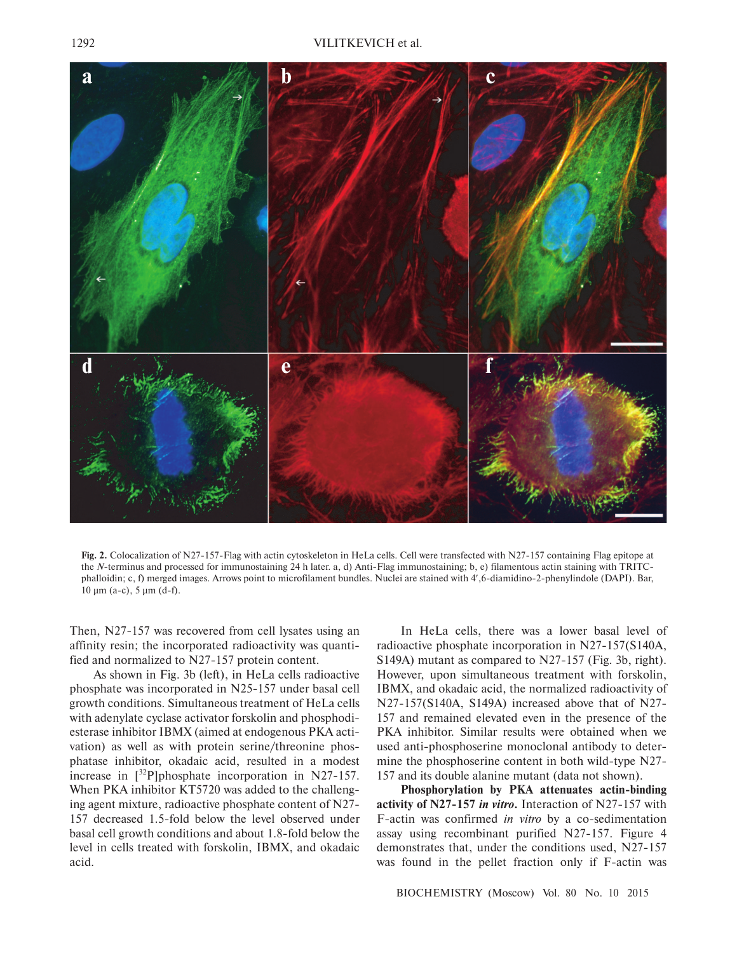

**Fig. 2.** Colocalization of N27-157-Flag with actin cytoskeleton in HeLa cells. Cell were transfected with N27-157 containing Flag epitope at the *N*-terminus and processed for immunostaining 24 h later. a, d) Anti-Flag immunostaining; b, e) filamentous actin staining with TRITCphalloidin; c, f) merged images. Arrows point to microfilament bundles. Nuclei are stained with 4',6-diamidino-2-phenylindole (DAPI). Bar, 10 µm (a-c), 5 µm (d-f).

Then, N27-157 was recovered from cell lysates using an affinity resin; the incorporated radioactivity was quantified and normalized to N27-157 protein content.

As shown in Fig. 3b (left), in HeLa cells radioactive phosphate was incorporated in N25-157 under basal cell growth conditions. Simultaneous treatment of HeLa cells with adenylate cyclase activator forskolin and phosphodiesterase inhibitor IBMX (aimed at endogenous PKA activation) as well as with protein serine/threonine phosphatase inhibitor, okadaic acid, resulted in a modest increase in  $\lceil \frac{32P}{P} \rceil$ phosphate incorporation in N27-157. When PKA inhibitor KT5720 was added to the challenging agent mixture, radioactive phosphate content of N27- 157 decreased 1.5-fold below the level observed under basal cell growth conditions and about 1.8-fold below the level in cells treated with forskolin, IBMX, and okadaic acid.

In HeLa cells, there was a lower basal level of radioactive phosphate incorporation in N27-157(S140A, S149A) mutant as compared to N27-157 (Fig. 3b, right). However, upon simultaneous treatment with forskolin, IBMX, and okadaic acid, the normalized radioactivity of N27-157(S140A, S149A) increased above that of N27- 157 and remained elevated even in the presence of the PKA inhibitor. Similar results were obtained when we used anti-phosphoserine monoclonal antibody to determine the phosphoserine content in both wild-type N27- 157 and its double alanine mutant (data not shown).

**Phosphorylation by PKA attenuates actin-binding activity of N27-157** *in vitro***.** Interaction of N27-157 with F-actin was confirmed *in vitro* by a co-sedimentation assay using recombinant purified N27-157. Figure 4 demonstrates that, under the conditions used, N27-157 was found in the pellet fraction only if F-actin was

BIOCHEMISTRY (Moscow) Vol. 80 No. 10 2015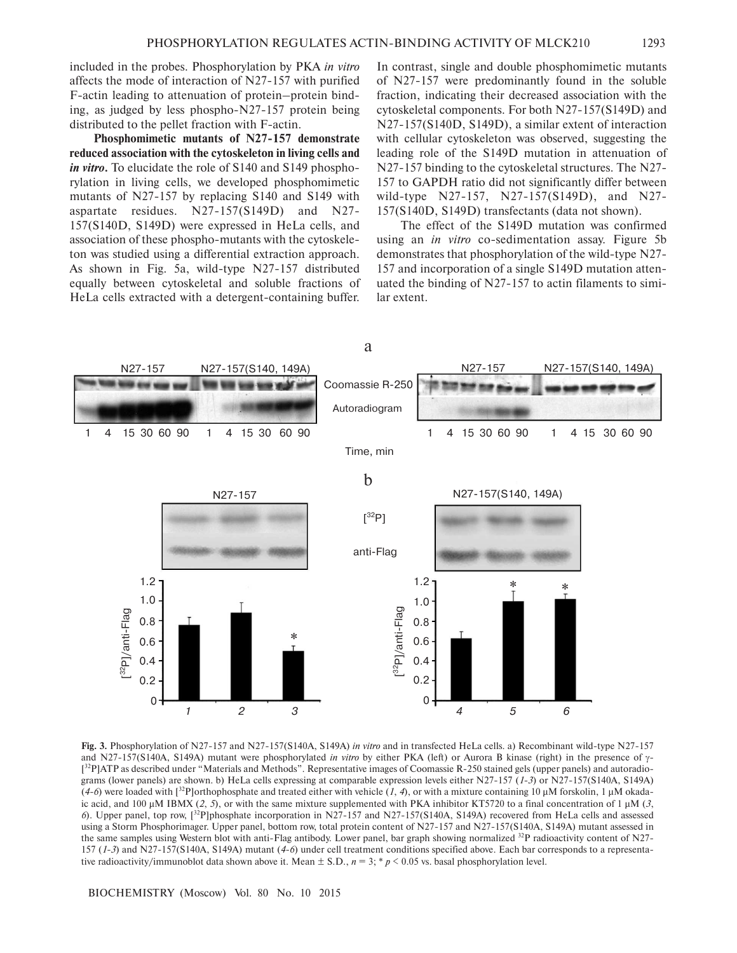included in the probes. Phosphorylation by PKA *in vitro* affects the mode of interaction of N27-157 with purified F-actin leading to attenuation of protein–protein binding, as judged by less phospho-N27-157 protein being distributed to the pellet fraction with F-actin.

**Phosphomimetic mutants of N27-157 demonstrate reduced association with the cytoskeleton in living cells and** *in vitro***.** To elucidate the role of S140 and S149 phosphorylation in living cells, we developed phosphomimetic mutants of N27-157 by replacing S140 and S149 with aspartate residues. N27-157(S149D) and N27- 157(S140D, S149D) were expressed in HeLa cells, and association of these phospho-mutants with the cytoskeleton was studied using a differential extraction approach. As shown in Fig. 5a, wild-type N27-157 distributed equally between cytoskeletal and soluble fractions of HeLa cells extracted with a detergent-containing buffer.

In contrast, single and double phosphomimetic mutants of N27-157 were predominantly found in the soluble fraction, indicating their decreased association with the cytoskeletal components. For both N27-157(S149D) and N27-157(S140D, S149D), a similar extent of interaction with cellular cytoskeleton was observed, suggesting the leading role of the S149D mutation in attenuation of N27-157 binding to the cytoskeletal structures. The N27- 157 to GAPDH ratio did not significantly differ between wild-type N27-157, N27-157(S149D), and N27- 157(S140D, S149D) transfectants (data not shown).

The effect of the S149D mutation was confirmed using an *in vitro* co-sedimentation assay. Figure 5b demonstrates that phosphorylation of the wild-type N27- 157 and incorporation of a single S149D mutation attenuated the binding of N27-157 to actin filaments to similar extent.



**Fig. 3.** Phosphorylation of N27-157 and N27-157(S140A, S149A) *in vitro* and in transfected HeLa cells. a) Recombinant wild-type N27-157 and N27-157(S140A, S149A) mutant were phosphorylated *in vitro* by either PKA (left) or Aurora B kinase (right) in the presence of γ-  $[3^{2}P]$ ATP as described under "Materials and Methods". Representative images of Coomassie R-250 stained gels (upper panels) and autoradiograms (lower panels) are shown. b) HeLa cells expressing at comparable expression levels either N27-157 (*1-3*) or N27-157(S140A, S149A)  $(4-6)$  were loaded with  $[32P]$ orthophosphate and treated either with vehicle  $(1, 4)$ , or with a mixture containing 10  $\mu$ M forskolin, 1  $\mu$ M okadaic acid, and 100  $\mu$ M IBMX (2, 5), or with the same mixture supplemented with PKA inhibitor KT5720 to a final concentration of 1  $\mu$ M (3, *6*). Upper panel, top row, [<sup>32</sup>P]phosphate incorporation in N27-157 and N27-157(S140A, S149A) recovered from HeLa cells and assessed using a Storm Phosphorimager. Upper panel, bottom row, total protein content of N27-157 and N27-157(S140A, S149A) mutant assessed in the same samples using Western blot with anti-Flag antibody. Lower panel, bar graph showing normalized  $^{32}P$  radioactivity content of N27-157 (*1-3*) and N27-157(S140A, S149A) mutant (*4-6*) under cell treatment conditions specified above. Each bar corresponds to a representative radioactivity/immunoblot data shown above it. Mean  $\pm$  S.D.,  $n = 3$ ;  $\ast p < 0.05$  vs. basal phosphorylation level.

BIOCHEMISTRY (Moscow) Vol. 80 No. 10 2015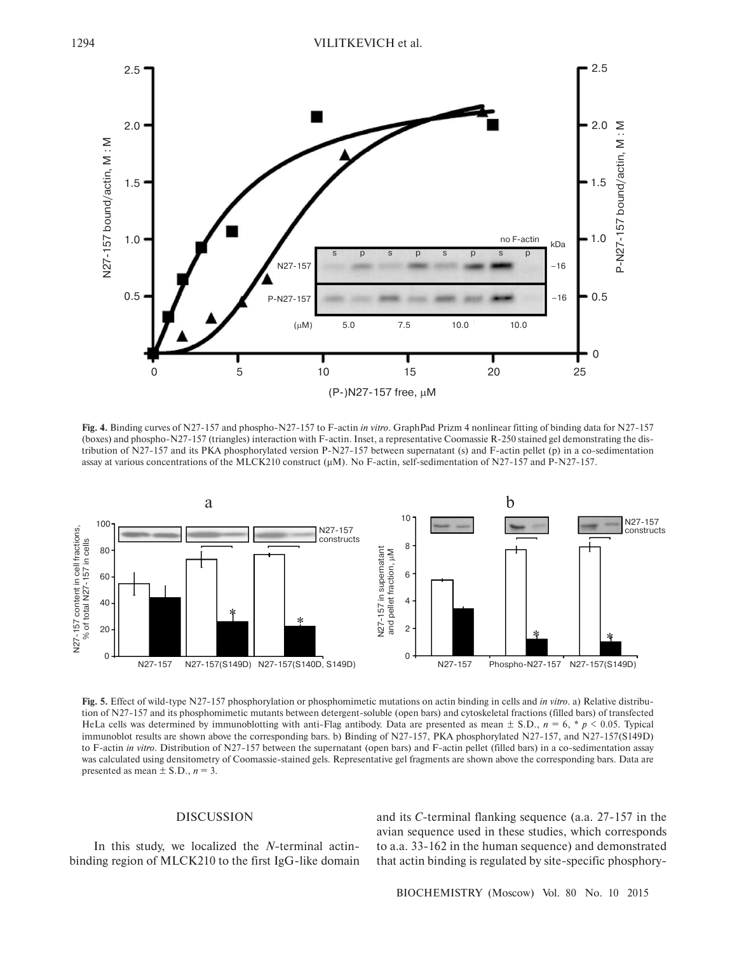

**Fig. 4.** Binding curves of N27-157 and phospho-N27-157 to F-actin *in vitro*. GraphPad Prizm 4 nonlinear fitting of binding data for N27-157 (boxes) and phospho-N27-157 (triangles) interaction with F-actin. Inset, a representative Coomassie R-250 stained gel demonstrating the distribution of N27-157 and its PKA phosphorylated version P-N27-157 between supernatant (s) and F-actin pellet (p) in a co-sedimentation assay at various concentrations of the MLCK210 construct ( $\mu$ M). No F-actin, self-sedimentation of N27-157 and P-N27-157.



**Fig. 5.** Effect of wild-type N27-157 phosphorylation or phosphomimetic mutations on actin binding in cells and *in vitro*. a) Relative distribution of N27-157 and its phosphomimetic mutants between detergent-soluble (open bars) and cytoskeletal fractions (filled bars) of transfected HeLa cells was determined by immunoblotting with anti-Flag antibody. Data are presented as mean  $\pm$  S.D.,  $n = 6$ ,  $\ast p < 0.05$ . Typical immunoblot results are shown above the corresponding bars. b) Binding of N27-157, PKA phosphorylated N27-157, and N27-157(S149D) to F-actin *in vitro*. Distribution of N27-157 between the supernatant (open bars) and F-actin pellet (filled bars) in a co-sedimentation assay was calculated using densitometry of Coomassie-stained gels. Representative gel fragments are shown above the corresponding bars. Data are presented as mean  $\pm$  S.D.,  $n = 3$ .

## DISCUSSION

In this study, we localized the *N*-terminal actinbinding region of MLCK210 to the first IgG-like domain and its *C*-terminal flanking sequence (a.a. 27-157 in the avian sequence used in these studies, which corresponds to a.a. 33-162 in the human sequence) and demonstrated that actin binding is regulated by site-specific phosphory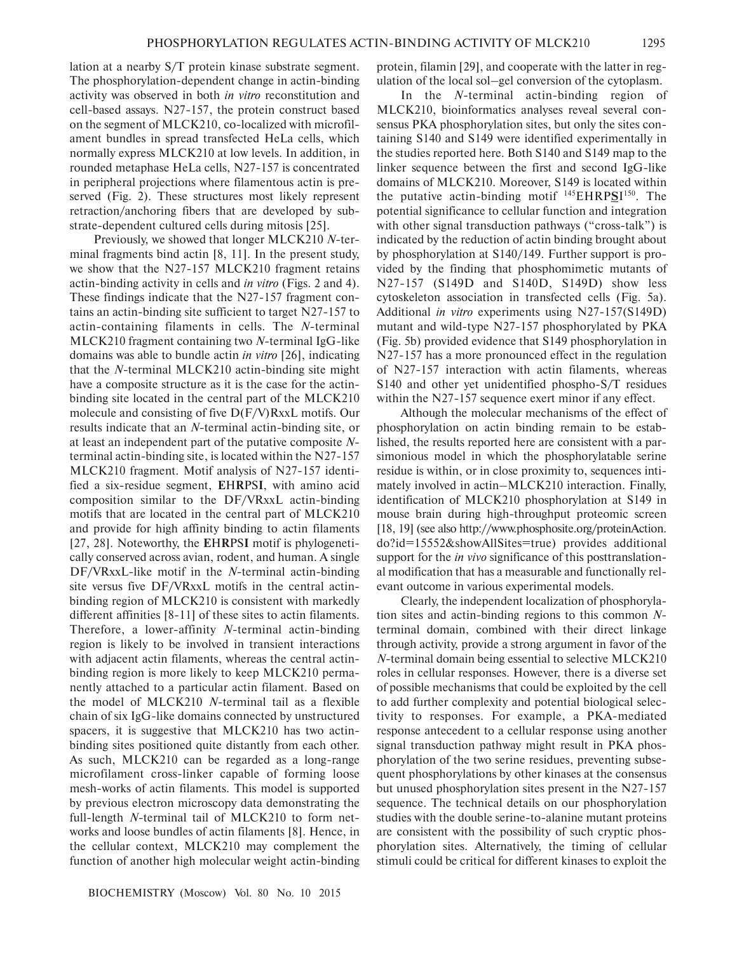lation at a nearby S/T protein kinase substrate segment. The phosphorylation-dependent change in actin-binding activity was observed in both *in vitro* reconstitution and cell-based assays. N27-157, the protein construct based on the segment of MLCK210, co-localized with microfilament bundles in spread transfected HeLa cells, which normally express MLCK210 at low levels. In addition, in rounded metaphase HeLa cells, N27-157 is concentrated in peripheral projections where filamentous actin is preserved (Fig. 2). These structures most likely represent retraction/anchoring fibers that are developed by substrate-dependent cultured cells during mitosis [25].

Previously, we showed that longer MLCK210 *N*-terminal fragments bind actin [8, 11]. In the present study, we show that the N27-157 MLCK210 fragment retains actin-binding activity in cells and *in vitro* (Figs. 2 and 4). These findings indicate that the N27-157 fragment contains an actin-binding site sufficient to target N27-157 to actin-containing filaments in cells. The *N*-terminal MLCK210 fragment containing two *N*-terminal IgG-like domains was able to bundle actin *in vitro* [26], indicating that the *N*-terminal MLCK210 actin-binding site might have a composite structure as it is the case for the actinbinding site located in the central part of the MLCK210 molecule and consisting of five D(F/V)RxxL motifs. Our results indicate that an *N*-terminal actin-binding site, or at least an independent part of the putative composite *N*terminal actin-binding site, is located within the N27-157 MLCK210 fragment. Motif analysis of N27-157 identified a six-residue segment, **E**H**R**PS**I**, with amino acid composition similar to the DF/VRxxL actin-binding motifs that are located in the central part of MLCK210 and provide for high affinity binding to actin filaments [27, 28]. Noteworthy, the **E**H**R**PS**I** motif is phylogenetically conserved across avian, rodent, and human. A single DF/VRxxL-like motif in the *N*-terminal actin-binding site versus five DF/VRxxL motifs in the central actinbinding region of MLCK210 is consistent with markedly different affinities [8-11] of these sites to actin filaments. Therefore, a lower-affinity *N*-terminal actin-binding region is likely to be involved in transient interactions with adjacent actin filaments, whereas the central actinbinding region is more likely to keep MLCK210 permanently attached to a particular actin filament. Based on the model of MLCK210 *N*-terminal tail as a flexible chain of six IgG-like domains connected by unstructured spacers, it is suggestive that MLCK210 has two actinbinding sites positioned quite distantly from each other. As such, MLCK210 can be regarded as a long-range microfilament cross-linker capable of forming loose mesh-works of actin filaments. This model is supported by previous electron microscopy data demonstrating the full-length *N*-terminal tail of MLCK210 to form networks and loose bundles of actin filaments [8]. Hence, in the cellular context, MLCK210 may complement the function of another high molecular weight actin-binding

protein, filamin [29], and cooperate with the latter in regulation of the local sol–gel conversion of the cytoplasm.

In the *N*-terminal actin-binding region of MLCK210, bioinformatics analyses reveal several consensus PKA phosphorylation sites, but only the sites containing S140 and S149 were identified experimentally in the studies reported here. Both S140 and S149 map to the linker sequence between the first and second IgG-like domains of MLCK210. Moreover, S149 is located within the putative actin-binding motif <sup>145</sup>EHRP**S**I <sup>150</sup>. The potential significance to cellular function and integration with other signal transduction pathways ("cross-talk") is indicated by the reduction of actin binding brought about by phosphorylation at S140/149. Further support is provided by the finding that phosphomimetic mutants of N27-157 (S149D and S140D, S149D) show less cytoskeleton association in transfected cells (Fig. 5a). Additional *in vitro* experiments using N27-157(S149D) mutant and wild-type N27-157 phosphorylated by PKA (Fig. 5b) provided evidence that S149 phosphorylation in N27-157 has a more pronounced effect in the regulation of N27-157 interaction with actin filaments, whereas S140 and other yet unidentified phospho-S/T residues within the N27-157 sequence exert minor if any effect.

Although the molecular mechanisms of the effect of phosphorylation on actin binding remain to be established, the results reported here are consistent with a parsimonious model in which the phosphorylatable serine residue is within, or in close proximity to, sequences intimately involved in actin–MLCK210 interaction. Finally, identification of MLCK210 phosphorylation at S149 in mouse brain during high-throughput proteomic screen [18, 19] (see also http://www.phosphosite.org/proteinAction. do?id=15552&showAllSites=true) provides additional support for the *in vivo* significance of this posttranslational modification that has a measurable and functionally relevant outcome in various experimental models.

Clearly, the independent localization of phosphorylation sites and actin-binding regions to this common *N*terminal domain, combined with their direct linkage through activity, provide a strong argument in favor of the *N*-terminal domain being essential to selective MLCK210 roles in cellular responses. However, there is a diverse set of possible mechanisms that could be exploited by the cell to add further complexity and potential biological selectivity to responses. For example, a PKA-mediated response antecedent to a cellular response using another signal transduction pathway might result in PKA phosphorylation of the two serine residues, preventing subsequent phosphorylations by other kinases at the consensus but unused phosphorylation sites present in the N27-157 sequence. The technical details on our phosphorylation studies with the double serine-to-alanine mutant proteins are consistent with the possibility of such cryptic phosphorylation sites. Alternatively, the timing of cellular stimuli could be critical for different kinases to exploit the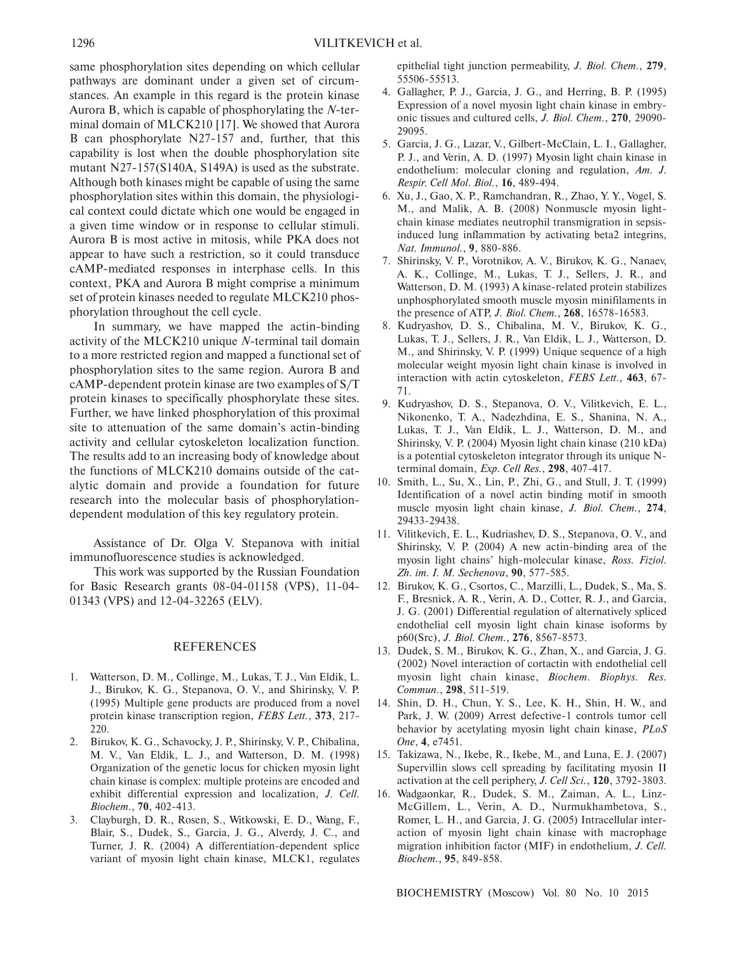same phosphorylation sites depending on which cellular pathways are dominant under a given set of circumstances. An example in this regard is the protein kinase Aurora B, which is capable of phosphorylating the *N*-terminal domain of MLCK210 [17]. We showed that Aurora B can phosphorylate N27-157 and, further, that this capability is lost when the double phosphorylation site mutant N27-157(S140A, S149A) is used as the substrate. Although both kinases might be capable of using the same phosphorylation sites within this domain, the physiological context could dictate which one would be engaged in a given time window or in response to cellular stimuli. Aurora B is most active in mitosis, while PKA does not appear to have such a restriction, so it could transduce cAMP-mediated responses in interphase cells. In this context, PKA and Aurora B might comprise a minimum set of protein kinases needed to regulate MLCK210 phosphorylation throughout the cell cycle.

In summary, we have mapped the actin-binding activity of the MLCK210 unique *N*-terminal tail domain to a more restricted region and mapped a functional set of phosphorylation sites to the same region. Aurora B and cAMP-dependent protein kinase are two examples of S/T protein kinases to specifically phosphorylate these sites. Further, we have linked phosphorylation of this proximal site to attenuation of the same domain's actin-binding activity and cellular cytoskeleton localization function. The results add to an increasing body of knowledge about the functions of MLCK210 domains outside of the catalytic domain and provide a foundation for future research into the molecular basis of phosphorylationdependent modulation of this key regulatory protein.

Assistance of Dr. Olga V. Stepanova with initial immunofluorescence studies is acknowledged.

This work was supported by the Russian Foundation for Basic Research grants 08-04-01158 (VPS), 11-04- 01343 (VPS) and 12-04-32265 (ELV).

### REFERENCES

- 1. Watterson, D. M., Collinge, M., Lukas, T. J., Van Eldik, L. J., Birukov, K. G., Stepanova, O. V., and Shirinsky, V. P. (1995) Multiple gene products are produced from a novel protein kinase transcription region, *FEBS Lett.*, **373**, 217- 220.
- 2. Birukov, K. G., Schavocky, J. P., Shirinsky, V. P., Chibalina, M. V., Van Eldik, L. J., and Watterson, D. M. (1998) Organization of the genetic locus for chicken myosin light chain kinase is complex: multiple proteins are encoded and exhibit differential expression and localization, *J. Cell. Biochem.*, **70**, 402-413.
- 3. Clayburgh, D. R., Rosen, S., Witkowski, E. D., Wang, F., Blair, S., Dudek, S., Garcia, J. G., Alverdy, J. C., and Turner, J. R. (2004) A differentiation-dependent splice variant of myosin light chain kinase, MLCK1, regulates

epithelial tight junction permeability, *J. Biol. Chem.*, **279**, 55506-55513.

- 4. Gallagher, P. J., Garcia, J. G., and Herring, B. P. (1995) Expression of a novel myosin light chain kinase in embryonic tissues and cultured cells, *J. Biol. Chem.*, **270**, 29090- 29095.
- 5. Garcia, J. G., Lazar, V., Gilbert-McClain, L. I., Gallagher, P. J., and Verin, A. D. (1997) Myosin light chain kinase in endothelium: molecular cloning and regulation, *Am. J. Respir. Cell Mol. Biol.*, **16**, 489-494.
- 6. Xu, J., Gao, X. P., Ramchandran, R., Zhao, Y. Y., Vogel, S. M., and Malik, A. B. (2008) Nonmuscle myosin lightchain kinase mediates neutrophil transmigration in sepsisinduced lung inflammation by activating beta2 integrins, *Nat. Immunol.*, **9**, 880-886.
- 7. Shirinsky, V. P., Vorotnikov, A. V., Birukov, K. G., Nanaev, A. K., Collinge, M., Lukas, T. J., Sellers, J. R., and Watterson, D. M. (1993) A kinase-related protein stabilizes unphosphorylated smooth muscle myosin minifilaments in the presence of ATP, *J. Biol. Chem.*, **268**, 16578-16583.
- 8. Kudryashov, D. S., Chibalina, M. V., Birukov, K. G., Lukas, T. J., Sellers, J. R., Van Eldik, L. J., Watterson, D. M., and Shirinsky, V. P. (1999) Unique sequence of a high molecular weight myosin light chain kinase is involved in interaction with actin cytoskeleton, *FEBS Lett*., **463**, 67- 71.
- 9. Kudryashov, D. S., Stepanova, O. V., Vilitkevich, E. L., Nikonenko, T. A., Nadezhdina, E. S., Shanina, N. A., Lukas, T. J., Van Eldik, L. J., Watterson, D. M., and Shirinsky, V. P. (2004) Myosin light chain kinase (210 kDa) is a potential cytoskeleton integrator through its unique Nterminal domain, *Exp. Cell Res.*, **298**, 407-417.
- 10. Smith, L., Su, X., Lin, P., Zhi, G., and Stull, J. T. (1999) Identification of a novel actin binding motif in smooth muscle myosin light chain kinase, *J. Biol. Chem.*, **274**, 29433-29438.
- 11. Vilitkevich, E. L., Kudriashev, D. S., Stepanova, O. V., and Shirinsky, V. P. (2004) A new actin-binding area of the myosin light chains' high-molecular kinase, *Ross. Fiziol. Zh. im. I. M. Sechenova*, **90**, 577-585.
- 12. Birukov, K. G., Csortos, C., Marzilli, L., Dudek, S., Ma, S. F., Bresnick, A. R., Verin, A. D., Cotter, R. J., and Garcia, J. G. (2001) Differential regulation of alternatively spliced endothelial cell myosin light chain kinase isoforms by p60(Src), *J. Biol. Chem.*, **276**, 8567-8573.
- 13. Dudek, S. M., Birukov, K. G., Zhan, X., and Garcia, J. G. (2002) Novel interaction of cortactin with endothelial cell myosin light chain kinase, *Biochem. Biophys. Res. Commun.*, **298**, 511-519.
- 14. Shin, D. H., Chun, Y. S., Lee, K. H., Shin, H. W., and Park, J. W. (2009) Arrest defective-1 controls tumor cell behavior by acetylating myosin light chain kinase, *PLoS One*, **4**, e7451.
- 15. Takizawa, N., Ikebe, R., Ikebe, M., and Luna, E. J. (2007) Supervillin slows cell spreading by facilitating myosin II activation at the cell periphery, *J. Cell Sci.*, **120**, 3792-3803.
- 16. Wadgaonkar, R., Dudek, S. M., Zaiman, A. L., Linz-McGillem, L., Verin, A. D., Nurmukhambetova, S., Romer, L. H., and Garcia, J. G. (2005) Intracellular interaction of myosin light chain kinase with macrophage migration inhibition factor (MIF) in endothelium, *J. Cell. Biochem.*, **95**, 849-858.

BIOCHEMISTRY (Moscow) Vol. 80 No. 10 2015